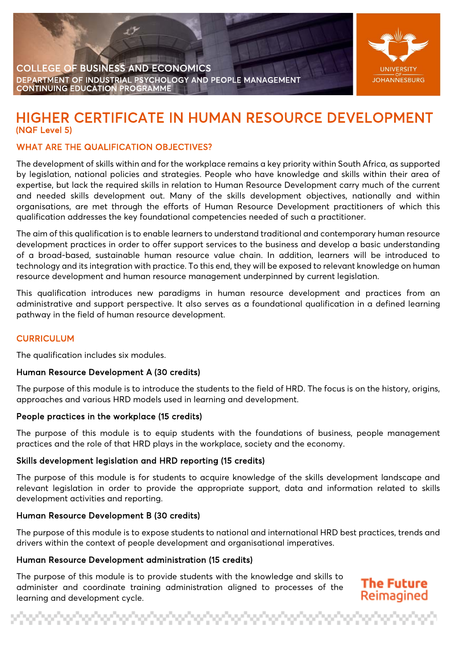



# HIGHER CERTIFICATE IN HUMAN RESOURCE DEVELOPMENT

## WHAT ARE THE QUALIFICATION OBJECTIVES?

The development of skills within and for the workplace remains a key priority within South Africa, as supported by legislation, national policies and strategies. People who have knowledge and skills within their area of expertise, but lack the required skills in relation to Human Resource Development carry much of the current and needed skills development out. Many of the skills development objectives, nationally and within organisations, are met through the efforts of Human Resource Development practitioners of which this qualification addresses the key foundational competencies needed of such a practitioner.

The aim of this qualification is to enable learners to understand traditional and contemporary human resource development practices in order to offer support services to the business and develop a basic understanding of a broad-based, sustainable human resource value chain. In addition, learners will be introduced to technology and its integration with practice. To this end, they will be exposed to relevant knowledge on human resource development and human resource management underpinned by current legislation.

This qualification introduces new paradigms in human resource development and practices from an administrative and support perspective. It also serves as a foundational qualification in a defined learning pathway in the field of human resource development.

#### **CURRICULUM**

The qualification includes six modules.

#### Human Resource Development A (30 credits)

The purpose of this module is to introduce the students to the field of HRD. The focus is on the history, origins, approaches and various HRD models used in learning and development.

#### People practices in the workplace (15 credits)

The purpose of this module is to equip students with the foundations of business, people management practices and the role of that HRD plays in the workplace, society and the economy.

#### Skills development legislation and HRD reporting (15 credits)

The purpose of this module is for students to acquire knowledge of the skills development landscape and relevant legislation in order to provide the appropriate support, data and information related to skills development activities and reporting.

#### Human Resource Development B (30 credits)

The purpose of this module is to expose students to national and international HRD best practices, trends and drivers within the context of people development and organisational imperatives.

#### Human Resource Development administration (15 credits)

The purpose of this module is to provide students with the knowledge and skills to administer and coordinate training administration aligned to processes of the learning and development cycle.

### **The Future** Reimaginec